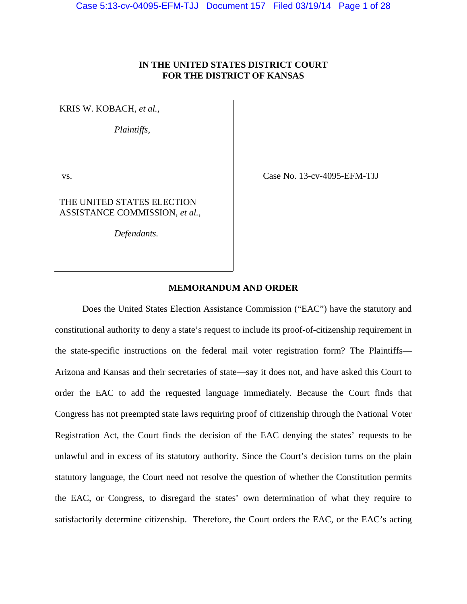# **IN THE UNITED STATES DISTRICT COURT FOR THE DISTRICT OF KANSAS**

KRIS W. KOBACH, *et al.*,

*Plaintiffs,*

THE UNITED STATES ELECTION ASSISTANCE COMMISSION, *et al.*,

*Defendants.*

vs. Case No. 13-cv-4095-EFM-TJJ

## **MEMORANDUM AND ORDER**

 Does the United States Election Assistance Commission ("EAC") have the statutory and constitutional authority to deny a state's request to include its proof-of-citizenship requirement in the state-specific instructions on the federal mail voter registration form? The Plaintiffs— Arizona and Kansas and their secretaries of state—say it does not, and have asked this Court to order the EAC to add the requested language immediately. Because the Court finds that Congress has not preempted state laws requiring proof of citizenship through the National Voter Registration Act, the Court finds the decision of the EAC denying the states' requests to be unlawful and in excess of its statutory authority. Since the Court's decision turns on the plain statutory language, the Court need not resolve the question of whether the Constitution permits the EAC, or Congress, to disregard the states' own determination of what they require to satisfactorily determine citizenship. Therefore, the Court orders the EAC, or the EAC's acting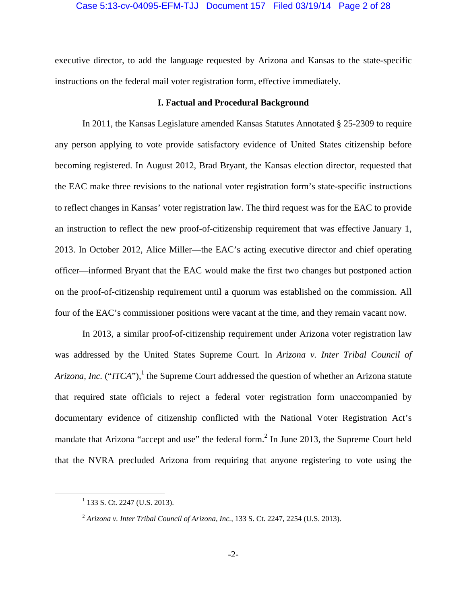### Case 5:13-cv-04095-EFM-TJJ Document 157 Filed 03/19/14 Page 2 of 28

executive director, to add the language requested by Arizona and Kansas to the state-specific instructions on the federal mail voter registration form, effective immediately.

## **I. Factual and Procedural Background**

 In 2011, the Kansas Legislature amended Kansas Statutes Annotated § 25-2309 to require any person applying to vote provide satisfactory evidence of United States citizenship before becoming registered. In August 2012, Brad Bryant, the Kansas election director, requested that the EAC make three revisions to the national voter registration form's state-specific instructions to reflect changes in Kansas' voter registration law. The third request was for the EAC to provide an instruction to reflect the new proof-of-citizenship requirement that was effective January 1, 2013. In October 2012, Alice Miller—the EAC's acting executive director and chief operating officer—informed Bryant that the EAC would make the first two changes but postponed action on the proof-of-citizenship requirement until a quorum was established on the commission. All four of the EAC's commissioner positions were vacant at the time, and they remain vacant now.

 In 2013, a similar proof-of-citizenship requirement under Arizona voter registration law was addressed by the United States Supreme Court. In *Arizona v. Inter Tribal Council of Arizona, Inc.* ("*ITCA*"),<sup>1</sup> the Supreme Court addressed the question of whether an Arizona statute that required state officials to reject a federal voter registration form unaccompanied by documentary evidence of citizenship conflicted with the National Voter Registration Act's mandate that Arizona "accept and use" the federal form.<sup>2</sup> In June 2013, the Supreme Court held that the NVRA precluded Arizona from requiring that anyone registering to vote using the

<sup>&</sup>lt;u>1</u>  $1$  133 S. Ct. 2247 (U.S. 2013).

<sup>2</sup> *Arizona v. Inter Tribal Council of Arizona, Inc.*, 133 S. Ct. 2247, 2254 (U.S. 2013).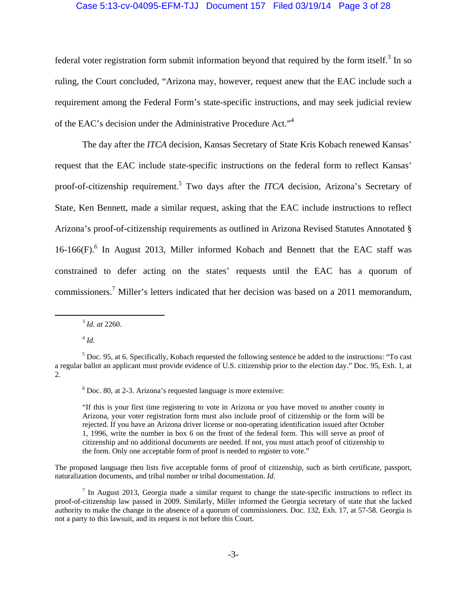### Case 5:13-cv-04095-EFM-TJJ Document 157 Filed 03/19/14 Page 3 of 28

federal voter registration form submit information beyond that required by the form itself.<sup>3</sup> In so ruling, the Court concluded, "Arizona may, however, request anew that the EAC include such a requirement among the Federal Form's state-specific instructions, and may seek judicial review of the EAC's decision under the Administrative Procedure Act."4

 The day after the *ITCA* decision, Kansas Secretary of State Kris Kobach renewed Kansas' request that the EAC include state-specific instructions on the federal form to reflect Kansas' proof-of-citizenship requirement.<sup>5</sup> Two days after the *ITCA* decision, Arizona's Secretary of State, Ken Bennett, made a similar request, asking that the EAC include instructions to reflect Arizona's proof-of-citizenship requirements as outlined in Arizona Revised Statutes Annotated § 16-166(F).<sup>6</sup> In August 2013, Miller informed Kobach and Bennett that the EAC staff was constrained to defer acting on the states' requests until the EAC has a quorum of commissioners.<sup>7</sup> Miller's letters indicated that her decision was based on a 2011 memorandum,

3 *Id. at* 2260.

 $4$  *Id.* 

"If this is your first time registering to vote in Arizona or you have moved to another county in Arizona, your voter registration form must also include proof of citizenship or the form will be rejected. If you have an Arizona driver license or non-operating identification issued after October 1, 1996, write the number in box 6 on the front of the federal form. This will serve as proof of citizenship and no additional documents are needed. If not, you must attach proof of citizenship to the form. Only one acceptable form of proof is needed to register to vote."

The proposed language then lists five acceptable forms of proof of citizenship, such as birth certificate, passport, naturalization documents, and tribal number or tribal documentation. *Id*.

 $<sup>7</sup>$  In August 2013, Georgia made a similar request to change the state-specific instructions to reflect its</sup> proof-of-citizenship law passed in 2009. Similarly, Miller informed the Georgia secretary of state that she lacked authority to make the change in the absence of a quorum of commissioners. Doc. 132, Exh. 17, at 57-58. Georgia is not a party to this lawsuit, and its request is not before this Court.

 $<sup>5</sup>$  Doc. 95, at 6. Specifically, Kobach requested the following sentence be added to the instructions: "To cast</sup> a regular ballot an applicant must provide evidence of U.S. citizenship prior to the election day." Doc. 95, Exh. 1, at 2.

 $6$  Doc. 80, at 2-3. Arizona's requested language is more extensive: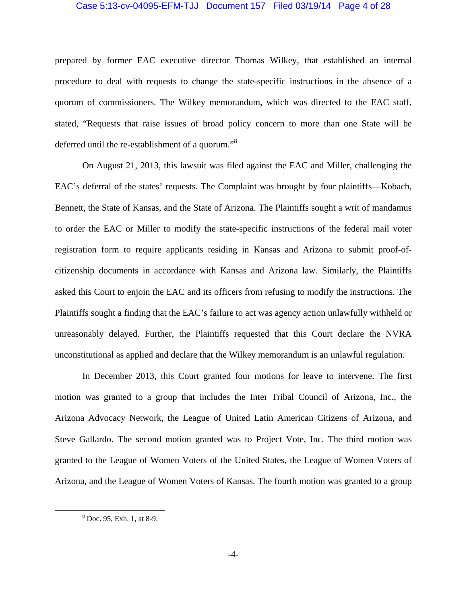#### Case 5:13-cv-04095-EFM-TJJ Document 157 Filed 03/19/14 Page 4 of 28

prepared by former EAC executive director Thomas Wilkey, that established an internal procedure to deal with requests to change the state-specific instructions in the absence of a quorum of commissioners. The Wilkey memorandum, which was directed to the EAC staff, stated, "Requests that raise issues of broad policy concern to more than one State will be deferred until the re-establishment of a quorum."<sup>8</sup>

 On August 21, 2013, this lawsuit was filed against the EAC and Miller, challenging the EAC's deferral of the states' requests. The Complaint was brought by four plaintiffs—Kobach, Bennett, the State of Kansas, and the State of Arizona. The Plaintiffs sought a writ of mandamus to order the EAC or Miller to modify the state-specific instructions of the federal mail voter registration form to require applicants residing in Kansas and Arizona to submit proof-ofcitizenship documents in accordance with Kansas and Arizona law. Similarly, the Plaintiffs asked this Court to enjoin the EAC and its officers from refusing to modify the instructions. The Plaintiffs sought a finding that the EAC's failure to act was agency action unlawfully withheld or unreasonably delayed. Further, the Plaintiffs requested that this Court declare the NVRA unconstitutional as applied and declare that the Wilkey memorandum is an unlawful regulation.

 In December 2013, this Court granted four motions for leave to intervene. The first motion was granted to a group that includes the Inter Tribal Council of Arizona, Inc., the Arizona Advocacy Network, the League of United Latin American Citizens of Arizona, and Steve Gallardo. The second motion granted was to Project Vote, Inc. The third motion was granted to the League of Women Voters of the United States, the League of Women Voters of Arizona, and the League of Women Voters of Kansas. The fourth motion was granted to a group

 $\begin{array}{c|c}\n\hline\n\text{1} & \text{2} & \text{3} \\
\hline\n\text{2} & \text{3} & \text{4}\n\end{array}$ Doc. 95, Exh. 1, at 8-9.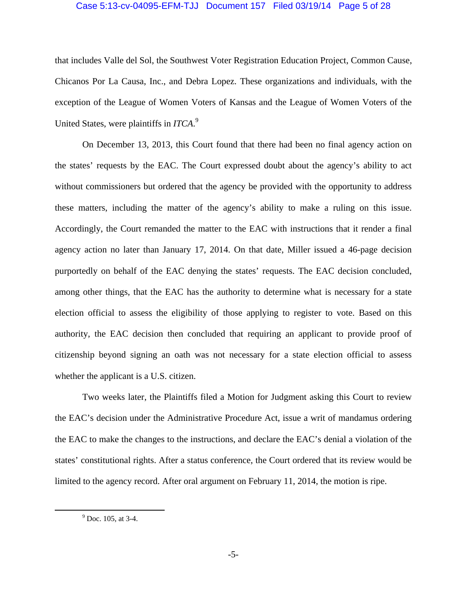### Case 5:13-cv-04095-EFM-TJJ Document 157 Filed 03/19/14 Page 5 of 28

that includes Valle del Sol, the Southwest Voter Registration Education Project, Common Cause, Chicanos Por La Causa, Inc., and Debra Lopez. These organizations and individuals, with the exception of the League of Women Voters of Kansas and the League of Women Voters of the United States, were plaintiffs in *ITCA*. 9

 On December 13, 2013, this Court found that there had been no final agency action on the states' requests by the EAC. The Court expressed doubt about the agency's ability to act without commissioners but ordered that the agency be provided with the opportunity to address these matters, including the matter of the agency's ability to make a ruling on this issue. Accordingly, the Court remanded the matter to the EAC with instructions that it render a final agency action no later than January 17, 2014. On that date, Miller issued a 46-page decision purportedly on behalf of the EAC denying the states' requests. The EAC decision concluded, among other things, that the EAC has the authority to determine what is necessary for a state election official to assess the eligibility of those applying to register to vote. Based on this authority, the EAC decision then concluded that requiring an applicant to provide proof of citizenship beyond signing an oath was not necessary for a state election official to assess whether the applicant is a U.S. citizen.

Two weeks later, the Plaintiffs filed a Motion for Judgment asking this Court to review the EAC's decision under the Administrative Procedure Act, issue a writ of mandamus ordering the EAC to make the changes to the instructions, and declare the EAC's denial a violation of the states' constitutional rights. After a status conference, the Court ordered that its review would be limited to the agency record. After oral argument on February 11, 2014, the motion is ripe.

 $\frac{1}{9}$  $^{9}$  Doc. 105, at 3-4.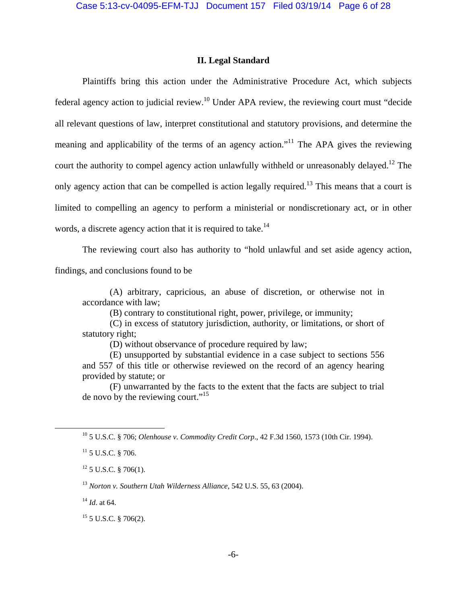## **II. Legal Standard**

 Plaintiffs bring this action under the Administrative Procedure Act, which subjects federal agency action to judicial review.10 Under APA review, the reviewing court must "decide all relevant questions of law, interpret constitutional and statutory provisions, and determine the meaning and applicability of the terms of an agency action."<sup>11</sup> The APA gives the reviewing court the authority to compel agency action unlawfully withheld or unreasonably delayed.<sup>12</sup> The only agency action that can be compelled is action legally required.<sup>13</sup> This means that a court is limited to compelling an agency to perform a ministerial or nondiscretionary act, or in other words, a discrete agency action that it is required to take.<sup>14</sup>

The reviewing court also has authority to "hold unlawful and set aside agency action, findings, and conclusions found to be

 (A) arbitrary, capricious, an abuse of discretion, or otherwise not in accordance with law;

(B) contrary to constitutional right, power, privilege, or immunity;

 (C) in excess of statutory jurisdiction, authority, or limitations, or short of statutory right;

(D) without observance of procedure required by law;

 (E) unsupported by substantial evidence in a case subject to sections 556 and 557 of this title or otherwise reviewed on the record of an agency hearing provided by statute; or

 (F) unwarranted by the facts to the extent that the facts are subject to trial de novo by the reviewing court."<sup>15</sup>

10 5 U.S.C. § 706; *Olenhouse v. Commodity Credit Corp*., 42 F.3d 1560, 1573 (10th Cir. 1994).

<sup>13</sup> *Norton v. Southern Utah Wilderness Alliance*, 542 U.S. 55, 63 (2004).

<sup>14</sup> *Id*. at 64.

15 5 U.S.C. § 706(2).

 $11$  5 U.S.C. § 706.

 $12$  5 U.S.C. § 706(1).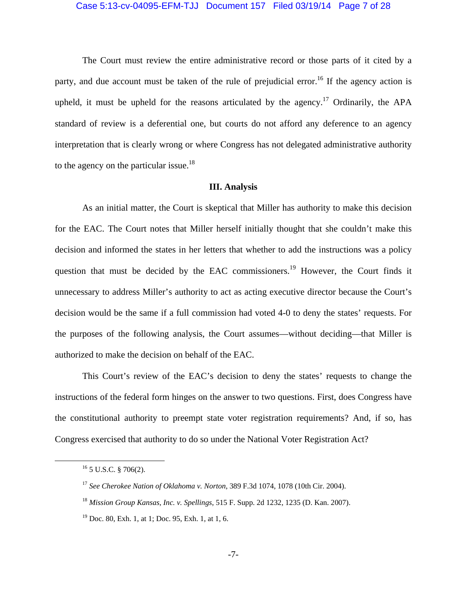#### Case 5:13-cv-04095-EFM-TJJ Document 157 Filed 03/19/14 Page 7 of 28

The Court must review the entire administrative record or those parts of it cited by a party, and due account must be taken of the rule of prejudicial error.<sup>16</sup> If the agency action is upheld, it must be upheld for the reasons articulated by the agency.<sup>17</sup> Ordinarily, the APA standard of review is a deferential one, but courts do not afford any deference to an agency interpretation that is clearly wrong or where Congress has not delegated administrative authority to the agency on the particular issue.<sup>18</sup>

## **III. Analysis**

 As an initial matter, the Court is skeptical that Miller has authority to make this decision for the EAC. The Court notes that Miller herself initially thought that she couldn't make this decision and informed the states in her letters that whether to add the instructions was a policy question that must be decided by the EAC commissioners.<sup>19</sup> However, the Court finds it unnecessary to address Miller's authority to act as acting executive director because the Court's decision would be the same if a full commission had voted 4-0 to deny the states' requests. For the purposes of the following analysis, the Court assumes—without deciding—that Miller is authorized to make the decision on behalf of the EAC.

 This Court's review of the EAC's decision to deny the states' requests to change the instructions of the federal form hinges on the answer to two questions. First, does Congress have the constitutional authority to preempt state voter registration requirements? And, if so, has Congress exercised that authority to do so under the National Voter Registration Act?

 <sup>16 5</sup> U.S.C. § 706(2).

<sup>17</sup> *See Cherokee Nation of Oklahoma v. Norton*, 389 F.3d 1074, 1078 (10th Cir. 2004).

<sup>18</sup> *Mission Group Kansas, Inc. v. Spellings*, 515 F. Supp. 2d 1232, 1235 (D. Kan. 2007).

 $19$  Doc. 80, Exh. 1, at 1; Doc. 95, Exh. 1, at 1, 6.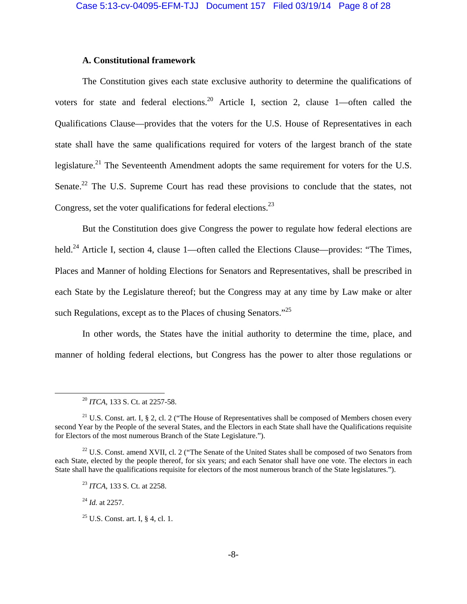## **A. Constitutional framework**

The Constitution gives each state exclusive authority to determine the qualifications of voters for state and federal elections.<sup>20</sup> Article I, section 2, clause 1—often called the Qualifications Clause—provides that the voters for the U.S. House of Representatives in each state shall have the same qualifications required for voters of the largest branch of the state legislature.<sup>21</sup> The Seventeenth Amendment adopts the same requirement for voters for the U.S. Senate.<sup>22</sup> The U.S. Supreme Court has read these provisions to conclude that the states, not Congress, set the voter qualifications for federal elections.<sup>23</sup>

 But the Constitution does give Congress the power to regulate how federal elections are held.<sup>24</sup> Article I, section 4, clause 1—often called the Elections Clause—provides: "The Times, Places and Manner of holding Elections for Senators and Representatives, shall be prescribed in each State by the Legislature thereof; but the Congress may at any time by Law make or alter such Regulations, except as to the Places of chusing Senators."<sup>25</sup>

 In other words, the States have the initial authority to determine the time, place, and manner of holding federal elections, but Congress has the power to alter those regulations or

 $22$  U.S. Const. amend XVII, cl. 2 ("The Senate of the United States shall be composed of two Senators from each State, elected by the people thereof, for six years; and each Senator shall have one vote. The electors in each State shall have the qualifications requisite for electors of the most numerous branch of the State legislatures.").

<sup>24</sup> *Id.* at 2257.

 <sup>20</sup> *ITCA*, 133 S. Ct. at 2257-58.

<sup>&</sup>lt;sup>21</sup> U.S. Const. art. I, § 2, cl. 2 ("The House of Representatives shall be composed of Members chosen every second Year by the People of the several States, and the Electors in each State shall have the Qualifications requisite for Electors of the most numerous Branch of the State Legislature.").

<sup>23</sup> *ITCA*, 133 S. Ct. at 2258.

<sup>&</sup>lt;sup>25</sup> U.S. Const. art. I, § 4, cl. 1.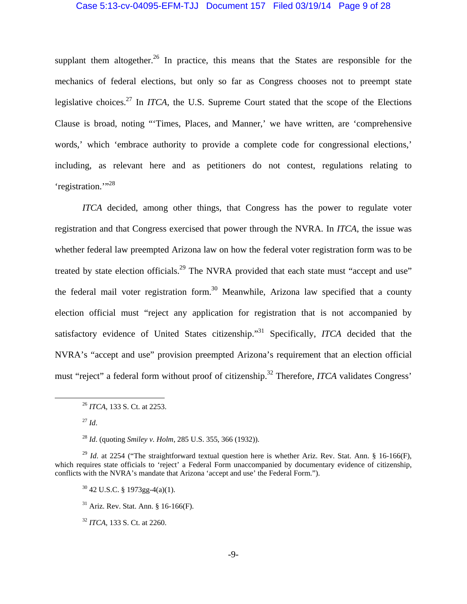#### Case 5:13-cv-04095-EFM-TJJ Document 157 Filed 03/19/14 Page 9 of 28

supplant them altogether.<sup>26</sup> In practice, this means that the States are responsible for the mechanics of federal elections, but only so far as Congress chooses not to preempt state legislative choices.27 In *ITCA*, the U.S. Supreme Court stated that the scope of the Elections Clause is broad, noting "'Times, Places, and Manner,' we have written, are 'comprehensive words,' which 'embrace authority to provide a complete code for congressional elections,' including, as relevant here and as petitioners do not contest, regulations relating to 'registration."<sup>38</sup>

*ITCA* decided, among other things, that Congress has the power to regulate voter registration and that Congress exercised that power through the NVRA. In *ITCA*, the issue was whether federal law preempted Arizona law on how the federal voter registration form was to be treated by state election officials.<sup>29</sup> The NVRA provided that each state must "accept and use" the federal mail voter registration form.<sup>30</sup> Meanwhile, Arizona law specified that a county election official must "reject any application for registration that is not accompanied by satisfactory evidence of United States citizenship."31 Specifically, *ITCA* decided that the NVRA's "accept and use" provision preempted Arizona's requirement that an election official must "reject" a federal form without proof of citizenship.<sup>32</sup> Therefore, *ITCA* validates Congress'

 <sup>26</sup> *ITCA*, 133 S. Ct. at 2253.

 $^{27}$  *Id.* 

<sup>28</sup> *Id*. (quoting *Smiley v. Holm*, 285 U.S. 355, 366 (1932)).

<sup>&</sup>lt;sup>29</sup> *Id.* at 2254 ("The straightforward textual question here is whether Ariz. Rev. Stat. Ann. § 16-166(F), which requires state officials to 'reject' a Federal Form unaccompanied by documentary evidence of citizenship, conflicts with the NVRA's mandate that Arizona 'accept and use' the Federal Form.").

 $30$  42 U.S.C. § 1973gg-4(a)(1).

 $31$  Ariz. Rev. Stat. Ann. § 16-166(F).

<sup>32</sup> *ITCA*, 133 S. Ct. at 2260.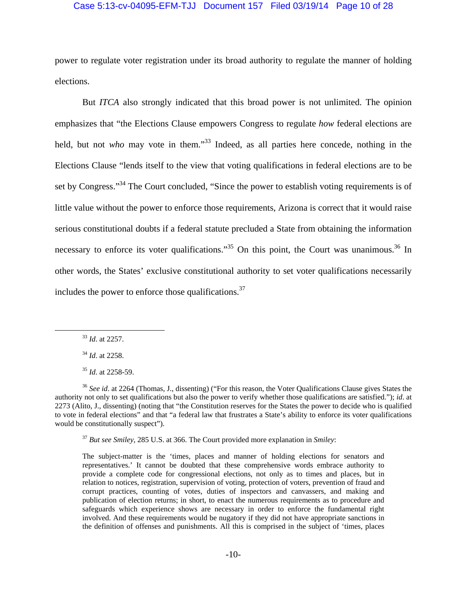### Case 5:13-cv-04095-EFM-TJJ Document 157 Filed 03/19/14 Page 10 of 28

power to regulate voter registration under its broad authority to regulate the manner of holding elections.

 But *ITCA* also strongly indicated that this broad power is not unlimited. The opinion emphasizes that "the Elections Clause empowers Congress to regulate *how* federal elections are held, but not *who* may vote in them."<sup>33</sup> Indeed, as all parties here concede, nothing in the Elections Clause "lends itself to the view that voting qualifications in federal elections are to be set by Congress."<sup>34</sup> The Court concluded, "Since the power to establish voting requirements is of little value without the power to enforce those requirements, Arizona is correct that it would raise serious constitutional doubts if a federal statute precluded a State from obtaining the information necessary to enforce its voter qualifications."<sup>35</sup> On this point, the Court was unanimous.<sup>36</sup> In other words, the States' exclusive constitutional authority to set voter qualifications necessarily includes the power to enforce those qualifications. $37$ 

33 *Id*. at 2257.

<sup>37</sup> *But see Smiley*, 285 U.S. at 366. The Court provided more explanation in *Smiley*:

<sup>34</sup> *Id*. at 2258.

<sup>35</sup> *Id*. at 2258-59.

<sup>36</sup> *See id*. at 2264 (Thomas, J., dissenting) ("For this reason, the Voter Qualifications Clause gives States the authority not only to set qualifications but also the power to verify whether those qualifications are satisfied."); *id*. at 2273 (Alito, J., dissenting) (noting that "the Constitution reserves for the States the power to decide who is qualified to vote in federal elections" and that "a federal law that frustrates a State's ability to enforce its voter qualifications would be constitutionally suspect").

The subject-matter is the 'times, places and manner of holding elections for senators and representatives.' It cannot be doubted that these comprehensive words embrace authority to provide a complete code for congressional elections, not only as to times and places, but in relation to notices, registration, supervision of voting, protection of voters, prevention of fraud and corrupt practices, counting of votes, duties of inspectors and canvassers, and making and publication of election returns; in short, to enact the numerous requirements as to procedure and safeguards which experience shows are necessary in order to enforce the fundamental right involved. And these requirements would be nugatory if they did not have appropriate sanctions in the definition of offenses and punishments. All this is comprised in the subject of 'times, places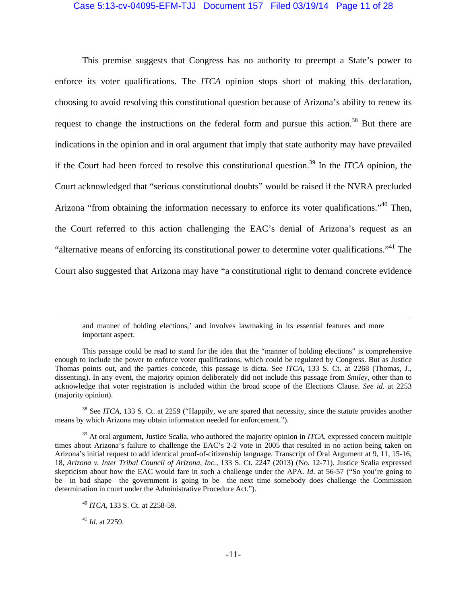#### Case 5:13-cv-04095-EFM-TJJ Document 157 Filed 03/19/14 Page 11 of 28

 This premise suggests that Congress has no authority to preempt a State's power to enforce its voter qualifications. The *ITCA* opinion stops short of making this declaration, choosing to avoid resolving this constitutional question because of Arizona's ability to renew its request to change the instructions on the federal form and pursue this action.<sup>38</sup> But there are indications in the opinion and in oral argument that imply that state authority may have prevailed if the Court had been forced to resolve this constitutional question.39 In the *ITCA* opinion, the Court acknowledged that "serious constitutional doubts" would be raised if the NVRA precluded Arizona "from obtaining the information necessary to enforce its voter qualifications."<sup>40</sup> Then, the Court referred to this action challenging the EAC's denial of Arizona's request as an "alternative means of enforcing its constitutional power to determine voter qualifications."<sup>41</sup> The Court also suggested that Arizona may have "a constitutional right to demand concrete evidence

<sup>41</sup> *Id*. at 2259.

and manner of holding elections,' and involves lawmaking in its essential features and more important aspect.

This passage could be read to stand for the idea that the "manner of holding elections" is comprehensive enough to include the power to enforce voter qualifications, which could be regulated by Congress. But as Justice Thomas points out, and the parties concede, this passage is dicta. See *ITCA*, 133 S. Ct. at 2268 (Thomas, J., dissenting). In any event, the majority opinion deliberately did not include this passage from *Smiley*, other than to acknowledge that voter registration is included within the broad scope of the Elections Clause. *See id*. at 2253 (majority opinion).

<sup>&</sup>lt;sup>38</sup> See *ITCA*, 133 S. Ct. at 2259 ("Happily, we are spared that necessity, since the statute provides another means by which Arizona may obtain information needed for enforcement.").

<sup>&</sup>lt;sup>39</sup> At oral argument, Justice Scalia, who authored the majority opinion in *ITCA*, expressed concern multiple times about Arizona's failure to challenge the EAC's 2-2 vote in 2005 that resulted in no action being taken on Arizona's initial request to add identical proof-of-citizenship language. Transcript of Oral Argument at 9, 11, 15-16, 18, *Arizona v. Inter Tribal Council of Arizona, Inc.*, 133 S. Ct. 2247 (2013) (No. 12-71). Justice Scalia expressed skepticism about how the EAC would fare in such a challenge under the APA. *Id*. at 56-57 ("So you're going to be—in bad shape—the government is going to be—the next time somebody does challenge the Commission determination in court under the Administrative Procedure Act.").

<sup>40</sup> *ITCA,* 133 S. Ct. at 2258-59.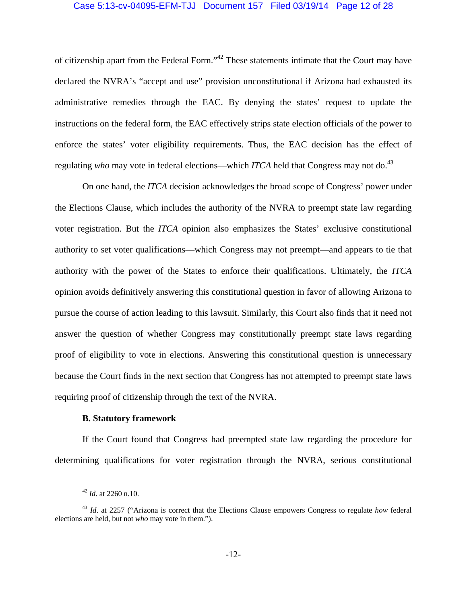## Case 5:13-cv-04095-EFM-TJJ Document 157 Filed 03/19/14 Page 12 of 28

of citizenship apart from the Federal Form."42 These statements intimate that the Court may have declared the NVRA's "accept and use" provision unconstitutional if Arizona had exhausted its administrative remedies through the EAC. By denying the states' request to update the instructions on the federal form, the EAC effectively strips state election officials of the power to enforce the states' voter eligibility requirements. Thus, the EAC decision has the effect of regulating *who* may vote in federal elections—which *ITCA* held that Congress may not do.<sup>43</sup>

On one hand, the *ITCA* decision acknowledges the broad scope of Congress' power under the Elections Clause, which includes the authority of the NVRA to preempt state law regarding voter registration. But the *ITCA* opinion also emphasizes the States' exclusive constitutional authority to set voter qualifications—which Congress may not preempt—and appears to tie that authority with the power of the States to enforce their qualifications. Ultimately, the *ITCA* opinion avoids definitively answering this constitutional question in favor of allowing Arizona to pursue the course of action leading to this lawsuit. Similarly, this Court also finds that it need not answer the question of whether Congress may constitutionally preempt state laws regarding proof of eligibility to vote in elections. Answering this constitutional question is unnecessary because the Court finds in the next section that Congress has not attempted to preempt state laws requiring proof of citizenship through the text of the NVRA.

## **B. Statutory framework**

If the Court found that Congress had preempted state law regarding the procedure for determining qualifications for voter registration through the NVRA, serious constitutional

 <sup>42</sup> *Id*. at 2260 n.10.

<sup>43</sup> *Id*. at 2257 ("Arizona is correct that the Elections Clause empowers Congress to regulate *how* federal elections are held, but not *who* may vote in them.").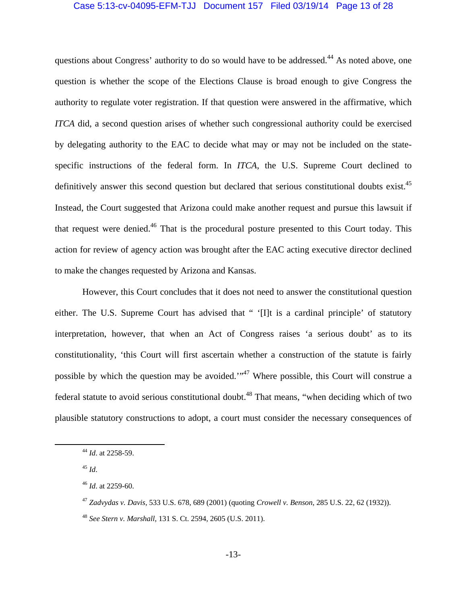### Case 5:13-cv-04095-EFM-TJJ Document 157 Filed 03/19/14 Page 13 of 28

questions about Congress' authority to do so would have to be addressed.<sup>44</sup> As noted above, one question is whether the scope of the Elections Clause is broad enough to give Congress the authority to regulate voter registration. If that question were answered in the affirmative, which *ITCA* did, a second question arises of whether such congressional authority could be exercised by delegating authority to the EAC to decide what may or may not be included on the statespecific instructions of the federal form. In *ITCA*, the U.S. Supreme Court declined to definitively answer this second question but declared that serious constitutional doubts exist.<sup>45</sup> Instead, the Court suggested that Arizona could make another request and pursue this lawsuit if that request were denied.46 That is the procedural posture presented to this Court today. This action for review of agency action was brought after the EAC acting executive director declined to make the changes requested by Arizona and Kansas.

 However, this Court concludes that it does not need to answer the constitutional question either. The U.S. Supreme Court has advised that " '[I]t is a cardinal principle' of statutory interpretation, however, that when an Act of Congress raises 'a serious doubt' as to its constitutionality, 'this Court will first ascertain whether a construction of the statute is fairly possible by which the question may be avoided."<sup>47</sup> Where possible, this Court will construe a federal statute to avoid serious constitutional doubt.<sup>48</sup> That means, "when deciding which of two plausible statutory constructions to adopt, a court must consider the necessary consequences of

 <sup>44</sup> *Id*. at 2258-59.

 $^{45}$  *Id.* 

<sup>46</sup> *Id*. at 2259-60.

<sup>47</sup> *Zadvydas v. Davis*, 533 U.S. 678, 689 (2001) (quoting *Crowell v. Benson*, 285 U.S. 22, 62 (1932)).

<sup>48</sup> *See Stern v. Marshall*, 131 S. Ct. 2594, 2605 (U.S. 2011).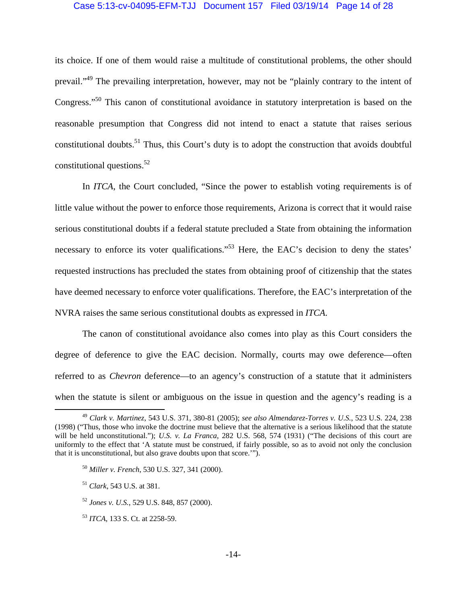### Case 5:13-cv-04095-EFM-TJJ Document 157 Filed 03/19/14 Page 14 of 28

its choice. If one of them would raise a multitude of constitutional problems, the other should prevail."49 The prevailing interpretation, however, may not be "plainly contrary to the intent of Congress."50 This canon of constitutional avoidance in statutory interpretation is based on the reasonable presumption that Congress did not intend to enact a statute that raises serious constitutional doubts.51 Thus, this Court's duty is to adopt the construction that avoids doubtful constitutional questions.52

In *ITCA*, the Court concluded, "Since the power to establish voting requirements is of little value without the power to enforce those requirements, Arizona is correct that it would raise serious constitutional doubts if a federal statute precluded a State from obtaining the information necessary to enforce its voter qualifications."<sup>53</sup> Here, the EAC's decision to deny the states' requested instructions has precluded the states from obtaining proof of citizenship that the states have deemed necessary to enforce voter qualifications. Therefore, the EAC's interpretation of the NVRA raises the same serious constitutional doubts as expressed in *ITCA*.

 The canon of constitutional avoidance also comes into play as this Court considers the degree of deference to give the EAC decision. Normally, courts may owe deference—often referred to as *Chevron* deference—to an agency's construction of a statute that it administers when the statute is silent or ambiguous on the issue in question and the agency's reading is a

 <sup>49</sup> *Clark v. Martinez*, 543 U.S. 371, 380-81 (2005); *see also Almendarez-Torres v. U.S.*, 523 U.S. 224, 238 (1998) ("Thus, those who invoke the doctrine must believe that the alternative is a serious likelihood that the statute will be held unconstitutional."); *U.S. v. La Franca*, 282 U.S. 568, 574 (1931) ("The decisions of this court are uniformly to the effect that 'A statute must be construed, if fairly possible, so as to avoid not only the conclusion that it is unconstitutional, but also grave doubts upon that score.'").

<sup>50</sup> *Miller v. French*, 530 U.S. 327, 341 (2000).

<sup>51</sup> *Clark*, 543 U.S. at 381.

<sup>52</sup> *Jones v. U.S.*, 529 U.S. 848, 857 (2000).

<sup>53</sup> *ITCA*, 133 S. Ct. at 2258-59.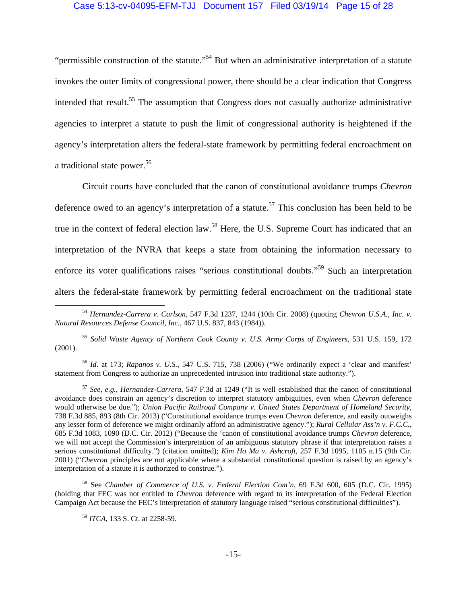### Case 5:13-cv-04095-EFM-TJJ Document 157 Filed 03/19/14 Page 15 of 28

"permissible construction of the statute."<sup>54</sup> But when an administrative interpretation of a statute invokes the outer limits of congressional power, there should be a clear indication that Congress intended that result.<sup>55</sup> The assumption that Congress does not casually authorize administrative agencies to interpret a statute to push the limit of congressional authority is heightened if the agency's interpretation alters the federal-state framework by permitting federal encroachment on a traditional state power.<sup>56</sup>

 Circuit courts have concluded that the canon of constitutional avoidance trumps *Chevron* deference owed to an agency's interpretation of a statute.<sup>57</sup> This conclusion has been held to be true in the context of federal election law.<sup>58</sup> Here, the U.S. Supreme Court has indicated that an interpretation of the NVRA that keeps a state from obtaining the information necessary to enforce its voter qualifications raises "serious constitutional doubts."59 Such an interpretation alters the federal-state framework by permitting federal encroachment on the traditional state

<sup>55</sup> *Solid Waste Agency of Northern Cook County v. U.S. Army Corps of Engineers*, 531 U.S. 159, 172 (2001).

<sup>56</sup> *Id*. at 173; *Rapanos v. U.S.*, 547 U.S. 715, 738 (2006) ("We ordinarily expect a 'clear and manifest' statement from Congress to authorize an unprecedented intrusion into traditional state authority.").

<sup>57</sup> *See, e.g.*, *Hernandez-Carrera*, 547 F.3d at 1249 ("It is well established that the canon of constitutional avoidance does constrain an agency's discretion to interpret statutory ambiguities, even when *Chevron* deference would otherwise be due."); *Union Pacific Railroad Company v. United States Department of Homeland Security*, 738 F.3d 885, 893 (8th Cir. 2013) ("Constitutional avoidance trumps even *Chevron* deference, and easily outweighs any lesser form of deference we might ordinarily afford an administrative agency."); *Rural Cellular Ass'n v. F.C.C.*, 685 F.3d 1083, 1090 (D.C. Cir. 2012) ("Because the 'canon of constitutional avoidance trumps *Chevron* deference, we will not accept the Commission's interpretation of an ambiguous statutory phrase if that interpretation raises a serious constitutional difficulty.") (citation omitted); *Kim Ho Ma v. Ashcroft*, 257 F.3d 1095, 1105 n.15 (9th Cir. 2001) ("*Chevron* principles are not applicable where a substantial constitutional question is raised by an agency's interpretation of a statute it is authorized to construe.").

58 See *Chamber of Commerce of U.S. v. Federal Election Com'n*, 69 F.3d 600, 605 (D.C. Cir. 1995) (holding that FEC was not entitled to *Chevron* deference with regard to its interpretation of the Federal Election Campaign Act because the FEC's interpretation of statutory language raised "serious constitutional difficulties").

<sup>59</sup> *ITCA*, 133 S. Ct. at 2258-59.

 <sup>54</sup> *Hernandez-Carrera v. Carlson*, 547 F.3d 1237, 1244 (10th Cir. 2008) (quoting *Chevron U.S.A., Inc. v. Natural Resources Defense Council, Inc.*, 467 U.S. 837, 843 (1984)).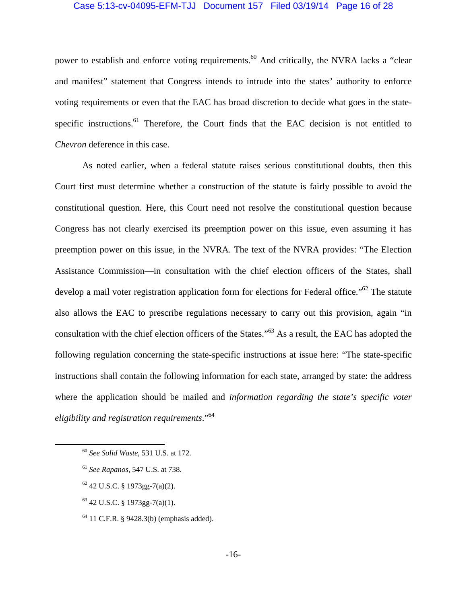### Case 5:13-cv-04095-EFM-TJJ Document 157 Filed 03/19/14 Page 16 of 28

power to establish and enforce voting requirements.<sup>60</sup> And critically, the NVRA lacks a "clear" and manifest" statement that Congress intends to intrude into the states' authority to enforce voting requirements or even that the EAC has broad discretion to decide what goes in the statespecific instructions.<sup>61</sup> Therefore, the Court finds that the EAC decision is not entitled to *Chevron* deference in this case.

 As noted earlier, when a federal statute raises serious constitutional doubts, then this Court first must determine whether a construction of the statute is fairly possible to avoid the constitutional question. Here, this Court need not resolve the constitutional question because Congress has not clearly exercised its preemption power on this issue, even assuming it has preemption power on this issue, in the NVRA. The text of the NVRA provides: "The Election Assistance Commission—in consultation with the chief election officers of the States, shall develop a mail voter registration application form for elections for Federal office."<sup>62</sup> The statute also allows the EAC to prescribe regulations necessary to carry out this provision, again "in consultation with the chief election officers of the States."63 As a result, the EAC has adopted the following regulation concerning the state-specific instructions at issue here: "The state-specific instructions shall contain the following information for each state, arranged by state: the address where the application should be mailed and *information regarding the state's specific voter eligibility and registration requirements*."64

 $62$  42 U.S.C. § 1973gg-7(a)(2).

 $63$  42 U.S.C. § 1973gg-7(a)(1).

 $64$  11 C.F.R. § 9428.3(b) (emphasis added).

 <sup>60</sup> *See Solid Waste*, 531 U.S. at 172.

<sup>61</sup> *See Rapanos*, 547 U.S. at 738.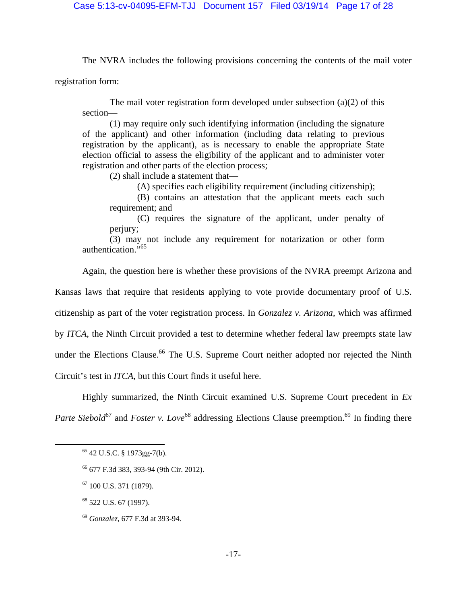The NVRA includes the following provisions concerning the contents of the mail voter

registration form:

The mail voter registration form developed under subsection  $(a)(2)$  of this section—

 (1) may require only such identifying information (including the signature of the applicant) and other information (including data relating to previous registration by the applicant), as is necessary to enable the appropriate State election official to assess the eligibility of the applicant and to administer voter registration and other parts of the election process;

(2) shall include a statement that—

(A) specifies each eligibility requirement (including citizenship);

 (B) contains an attestation that the applicant meets each such requirement; and

(C) requires the signature of the applicant, under penalty of perjury;

 (3) may not include any requirement for notarization or other form authentication."<sup>65</sup>

Again, the question here is whether these provisions of the NVRA preempt Arizona and

Kansas laws that require that residents applying to vote provide documentary proof of U.S.

citizenship as part of the voter registration process. In *Gonzalez v. Arizona*, which was affirmed

by *ITCA*, the Ninth Circuit provided a test to determine whether federal law preempts state law

under the Elections Clause.<sup>66</sup> The U.S. Supreme Court neither adopted nor rejected the Ninth

Circuit's test in *ITCA*, but this Court finds it useful here.

 Highly summarized, the Ninth Circuit examined U.S. Supreme Court precedent in *Ex Parte Siebold*<sup>67</sup> and *Foster v. Love*<sup>68</sup> addressing Elections Clause preemption.<sup>69</sup> In finding there

 <sup>65 42</sup> U.S.C. § 1973gg-7(b).

<sup>66 677</sup> F.3d 383, 393-94 (9th Cir. 2012).

 $67$  100 U.S. 371 (1879).

<sup>68 522</sup> U.S. 67 (1997).

<sup>69</sup> *Gonzalez,* 677 F.3d at 393-94.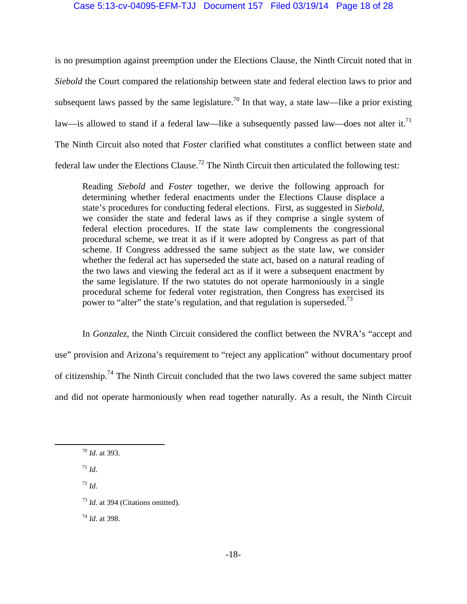## Case 5:13-cv-04095-EFM-TJJ Document 157 Filed 03/19/14 Page 18 of 28

is no presumption against preemption under the Elections Clause, the Ninth Circuit noted that in *Siebold* the Court compared the relationship between state and federal election laws to prior and subsequent laws passed by the same legislature.<sup>70</sup> In that way, a state law—like a prior existing law—is allowed to stand if a federal law—like a subsequently passed law—does not alter it.<sup>71</sup> The Ninth Circuit also noted that *Foster* clarified what constitutes a conflict between state and federal law under the Elections Clause.72 The Ninth Circuit then articulated the following test:

Reading *Siebold* and *Foster* together, we derive the following approach for determining whether federal enactments under the Elections Clause displace a state's procedures for conducting federal elections. First, as suggested in *Siebold*, we consider the state and federal laws as if they comprise a single system of federal election procedures. If the state law complements the congressional procedural scheme, we treat it as if it were adopted by Congress as part of that scheme. If Congress addressed the same subject as the state law, we consider whether the federal act has superseded the state act, based on a natural reading of the two laws and viewing the federal act as if it were a subsequent enactment by the same legislature. If the two statutes do not operate harmoniously in a single procedural scheme for federal voter registration, then Congress has exercised its power to "alter" the state's regulation, and that regulation is superseded.<sup>73</sup>

In *Gonzalez*, the Ninth Circuit considered the conflict between the NVRA's "accept and use" provision and Arizona's requirement to "reject any application" without documentary proof of citizenship.74 The Ninth Circuit concluded that the two laws covered the same subject matter and did not operate harmoniously when read together naturally. As a result, the Ninth Circuit

- $^{71}$  *Id.*
- <sup>72</sup> *Id*.
- <sup>73</sup> *Id*. at 394 (Citations omitted).

<sup>74</sup> *Id*. at 398.

 <sup>70</sup> *Id*. at 393.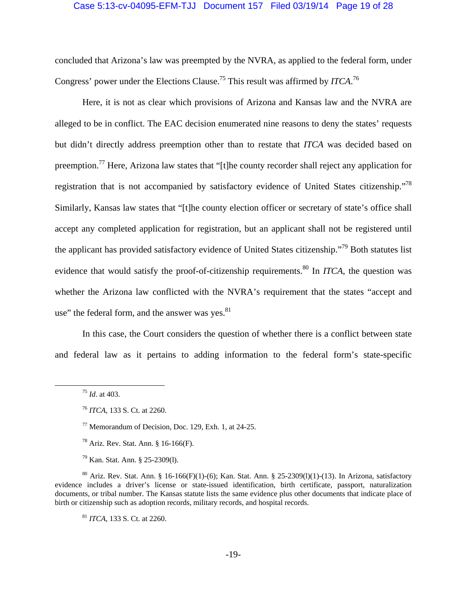#### Case 5:13-cv-04095-EFM-TJJ Document 157 Filed 03/19/14 Page 19 of 28

concluded that Arizona's law was preempted by the NVRA, as applied to the federal form, under Congress' power under the Elections Clause.<sup>75</sup> This result was affirmed by *ITCA*.<sup>76</sup>

Here, it is not as clear which provisions of Arizona and Kansas law and the NVRA are alleged to be in conflict. The EAC decision enumerated nine reasons to deny the states' requests but didn't directly address preemption other than to restate that *ITCA* was decided based on preemption.77 Here, Arizona law states that "[t]he county recorder shall reject any application for registration that is not accompanied by satisfactory evidence of United States citizenship."78 Similarly, Kansas law states that "[t]he county election officer or secretary of state's office shall accept any completed application for registration, but an applicant shall not be registered until the applicant has provided satisfactory evidence of United States citizenship."79 Both statutes list evidence that would satisfy the proof-of-citizenship requirements.<sup>80</sup> In *ITCA*, the question was whether the Arizona law conflicted with the NVRA's requirement that the states "accept and use" the federal form, and the answer was yes. $81$ 

In this case, the Court considers the question of whether there is a conflict between state and federal law as it pertains to adding information to the federal form's state-specific

<sup>81</sup> *ITCA*, 133 S. Ct. at 2260.

 <sup>75</sup> *Id*. at 403.

<sup>76</sup> *ITCA*, 133 S. Ct. at 2260.

<sup>77</sup> Memorandum of Decision, Doc. 129, Exh. 1, at 24-25.

 $^{78}$  Ariz. Rev. Stat. Ann. § 16-166(F).

<sup>79</sup> Kan. Stat. Ann. § 25-2309(l).

<sup>&</sup>lt;sup>80</sup> Ariz. Rev. Stat. Ann. § 16-166(F)(1)-(6); Kan. Stat. Ann. § 25-2309(l)(1)-(13). In Arizona, satisfactory evidence includes a driver's license or state-issued identification, birth certificate, passport, naturalization documents, or tribal number. The Kansas statute lists the same evidence plus other documents that indicate place of birth or citizenship such as adoption records, military records, and hospital records.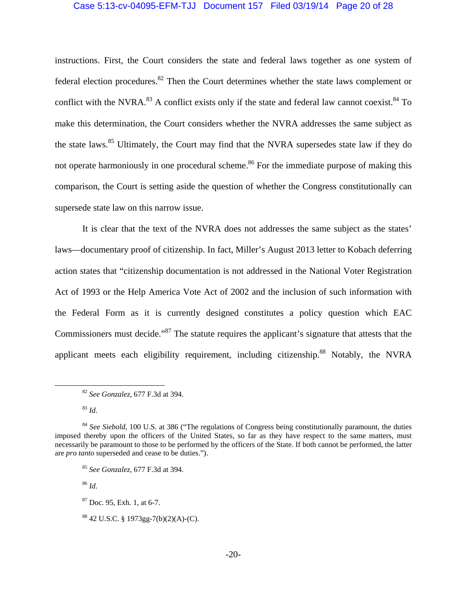#### Case 5:13-cv-04095-EFM-TJJ Document 157 Filed 03/19/14 Page 20 of 28

instructions. First, the Court considers the state and federal laws together as one system of federal election procedures.<sup>82</sup> Then the Court determines whether the state laws complement or conflict with the NVRA. $^{83}$  A conflict exists only if the state and federal law cannot coexist. $^{84}$  To make this determination, the Court considers whether the NVRA addresses the same subject as the state laws.<sup>85</sup> Ultimately, the Court may find that the NVRA supersedes state law if they do not operate harmoniously in one procedural scheme.<sup>86</sup> For the immediate purpose of making this comparison, the Court is setting aside the question of whether the Congress constitutionally can supersede state law on this narrow issue.

It is clear that the text of the NVRA does not addresses the same subject as the states' laws—documentary proof of citizenship. In fact, Miller's August 2013 letter to Kobach deferring action states that "citizenship documentation is not addressed in the National Voter Registration Act of 1993 or the Help America Vote Act of 2002 and the inclusion of such information with the Federal Form as it is currently designed constitutes a policy question which EAC Commissioners must decide."<sup>87</sup> The statute requires the applicant's signature that attests that the applicant meets each eligibility requirement, including citizenship.<sup>88</sup> Notably, the NVRA

<sup>86</sup> *Id*.

 <sup>82</sup> *See Gonzalez*, 677 F.3d at 394.

<sup>83</sup> *Id*.

<sup>84</sup> *See Siebold*, 100 U.S. at 386 ("The regulations of Congress being constitutionally paramount, the duties imposed thereby upon the officers of the United States, so far as they have respect to the same matters, must necessarily be paramount to those to be performed by the officers of the State. If both cannot be performed, the latter are *pro tanto* superseded and cease to be duties.").

<sup>85</sup> *See Gonzalez*, 677 F.3d at 394.

 $87$  Doc. 95, Exh. 1, at 6-7.

<sup>88 42</sup> U.S.C. § 1973gg-7(b)(2)(A)-(C).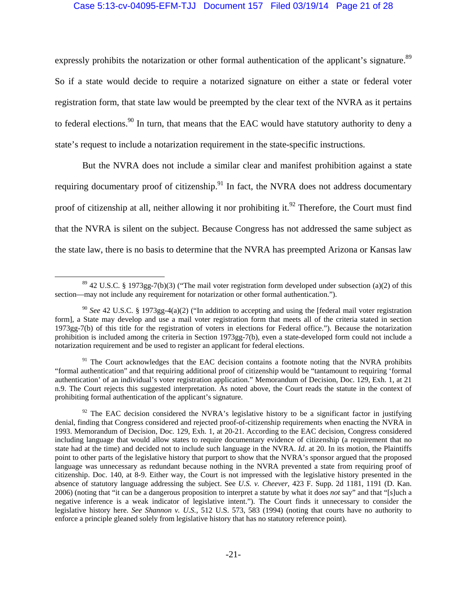## Case 5:13-cv-04095-EFM-TJJ Document 157 Filed 03/19/14 Page 21 of 28

expressly prohibits the notarization or other formal authentication of the applicant's signature.<sup>89</sup> So if a state would decide to require a notarized signature on either a state or federal voter registration form, that state law would be preempted by the clear text of the NVRA as it pertains to federal elections.<sup>90</sup> In turn, that means that the EAC would have statutory authority to deny a state's request to include a notarization requirement in the state-specific instructions.

But the NVRA does not include a similar clear and manifest prohibition against a state requiring documentary proof of citizenship. $91$  In fact, the NVRA does not address documentary proof of citizenship at all, neither allowing it nor prohibiting it.<sup>92</sup> Therefore, the Court must find that the NVRA is silent on the subject. Because Congress has not addressed the same subject as the state law, there is no basis to determine that the NVRA has preempted Arizona or Kansas law

 $89$  42 U.S.C. § 1973gg-7(b)(3) ("The mail voter registration form developed under subsection (a)(2) of this section—may not include any requirement for notarization or other formal authentication.").

<sup>90</sup> *See* 42 U.S.C. § 1973gg-4(a)(2) ("In addition to accepting and using the [federal mail voter registration form], a State may develop and use a mail voter registration form that meets all of the criteria stated in section 1973gg-7(b) of this title for the registration of voters in elections for Federal office."). Because the notarization prohibition is included among the criteria in Section 1973gg-7(b), even a state-developed form could not include a notarization requirement and be used to register an applicant for federal elections.

<sup>&</sup>lt;sup>91</sup> The Court acknowledges that the EAC decision contains a footnote noting that the NVRA prohibits "formal authentication" and that requiring additional proof of citizenship would be "tantamount to requiring 'formal authentication' of an individual's voter registration application." Memorandum of Decision, Doc. 129, Exh. 1, at 21 n.9. The Court rejects this suggested interpretation. As noted above, the Court reads the statute in the context of prohibiting formal authentication of the applicant's signature.

 $92$  The EAC decision considered the NVRA's legislative history to be a significant factor in justifying denial, finding that Congress considered and rejected proof-of-citizenship requirements when enacting the NVRA in 1993. Memorandum of Decision, Doc. 129, Exh. 1, at 20-21. According to the EAC decision, Congress considered including language that would allow states to require documentary evidence of citizenship (a requirement that no state had at the time) and decided not to include such language in the NVRA. *Id*. at 20. In its motion, the Plaintiffs point to other parts of the legislative history that purport to show that the NVRA's sponsor argued that the proposed language was unnecessary as redundant because nothing in the NVRA prevented a state from requiring proof of citizenship. Doc. 140, at 8-9. Either way, the Court is not impressed with the legislative history presented in the absence of statutory language addressing the subject. See *U.S. v. Cheever*, 423 F. Supp. 2d 1181, 1191 (D. Kan. 2006) (noting that "it can be a dangerous proposition to interpret a statute by what it does *not* say" and that "[s]uch a negative inference is a weak indicator of legislative intent."). The Court finds it unnecessary to consider the legislative history here. *See Shannon v. U.S.*, 512 U.S. 573, 583 (1994) (noting that courts have no authority to enforce a principle gleaned solely from legislative history that has no statutory reference point).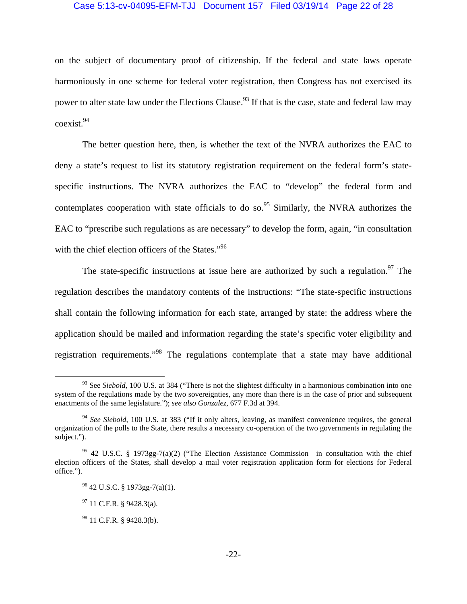### Case 5:13-cv-04095-EFM-TJJ Document 157 Filed 03/19/14 Page 22 of 28

on the subject of documentary proof of citizenship. If the federal and state laws operate harmoniously in one scheme for federal voter registration, then Congress has not exercised its power to alter state law under the Elections Clause.<sup>93</sup> If that is the case, state and federal law may coexist.<sup>94</sup>

The better question here, then, is whether the text of the NVRA authorizes the EAC to deny a state's request to list its statutory registration requirement on the federal form's statespecific instructions. The NVRA authorizes the EAC to "develop" the federal form and contemplates cooperation with state officials to do so.<sup>95</sup> Similarly, the NVRA authorizes the EAC to "prescribe such regulations as are necessary" to develop the form, again, "in consultation with the chief election officers of the States."<sup>96</sup>

The state-specific instructions at issue here are authorized by such a regulation.<sup>97</sup> The regulation describes the mandatory contents of the instructions: "The state-specific instructions shall contain the following information for each state, arranged by state: the address where the application should be mailed and information regarding the state's specific voter eligibility and registration requirements."98 The regulations contemplate that a state may have additional

<sup>&</sup>lt;sup>93</sup> See *Siebold*, 100 U.S. at 384 ("There is not the slightest difficulty in a harmonious combination into one system of the regulations made by the two sovereignties, any more than there is in the case of prior and subsequent enactments of the same legislature."); *see also Gonzalez*, 677 F.3d at 394.

<sup>&</sup>lt;sup>94</sup> See Siebold, 100 U.S. at 383 ("If it only alters, leaving, as manifest convenience requires, the general organization of the polls to the State, there results a necessary co-operation of the two governments in regulating the subject.").

<sup>&</sup>lt;sup>95</sup> 42 U.S.C. § 1973gg-7(a)(2) ("The Election Assistance Commission—in consultation with the chief election officers of the States, shall develop a mail voter registration application form for elections for Federal office.").

 $96$  42 U.S.C. § 1973gg-7(a)(1).

 $97$  11 C.F.R. § 9428.3(a).

<sup>98 11</sup> C.F.R. § 9428.3(b).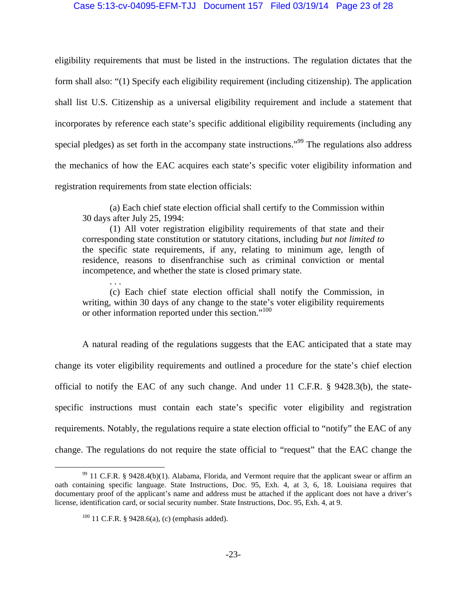### Case 5:13-cv-04095-EFM-TJJ Document 157 Filed 03/19/14 Page 23 of 28

eligibility requirements that must be listed in the instructions. The regulation dictates that the form shall also: "(1) Specify each eligibility requirement (including citizenship). The application shall list U.S. Citizenship as a universal eligibility requirement and include a statement that incorporates by reference each state's specific additional eligibility requirements (including any special pledges) as set forth in the accompany state instructions.<sup>"99</sup> The regulations also address the mechanics of how the EAC acquires each state's specific voter eligibility information and registration requirements from state election officials:

(a) Each chief state election official shall certify to the Commission within 30 days after July 25, 1994:

(1) All voter registration eligibility requirements of that state and their corresponding state constitution or statutory citations, including *but not limited to* the specific state requirements, if any, relating to minimum age, length of residence, reasons to disenfranchise such as criminal conviction or mental incompetence, and whether the state is closed primary state.

(c) Each chief state election official shall notify the Commission, in writing, within 30 days of any change to the state's voter eligibility requirements or other information reported under this section."<sup>100</sup>

A natural reading of the regulations suggests that the EAC anticipated that a state may change its voter eligibility requirements and outlined a procedure for the state's chief election official to notify the EAC of any such change. And under 11 C.F.R. § 9428.3(b), the statespecific instructions must contain each state's specific voter eligibility and registration requirements. Notably, the regulations require a state election official to "notify" the EAC of any change. The regulations do not require the state official to "request" that the EAC change the

. . .

<sup>&</sup>lt;sup>99</sup> 11 C.F.R. § 9428.4(b)(1). Alabama, Florida, and Vermont require that the applicant swear or affirm an oath containing specific language. State Instructions, Doc. 95, Exh. 4, at 3, 6, 18. Louisiana requires that documentary proof of the applicant's name and address must be attached if the applicant does not have a driver's license, identification card, or social security number. State Instructions, Doc. 95, Exh. 4, at 9.

 $100$  11 C.F.R. § 9428.6(a), (c) (emphasis added).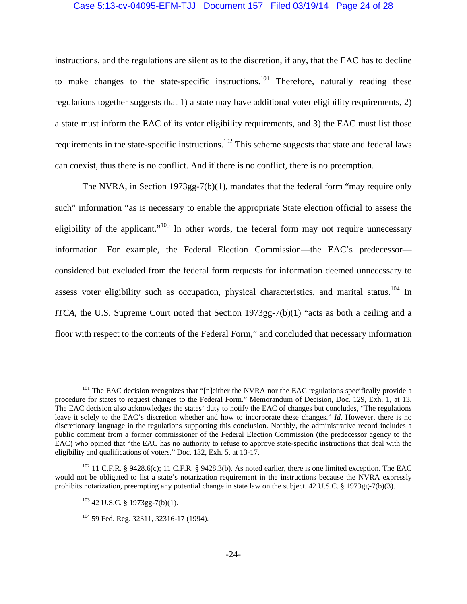### Case 5:13-cv-04095-EFM-TJJ Document 157 Filed 03/19/14 Page 24 of 28

instructions, and the regulations are silent as to the discretion, if any, that the EAC has to decline to make changes to the state-specific instructions.<sup>101</sup> Therefore, naturally reading these regulations together suggests that 1) a state may have additional voter eligibility requirements, 2) a state must inform the EAC of its voter eligibility requirements, and 3) the EAC must list those requirements in the state-specific instructions.<sup>102</sup> This scheme suggests that state and federal laws can coexist, thus there is no conflict. And if there is no conflict, there is no preemption.

The NVRA, in Section 1973gg-7(b)(1), mandates that the federal form "may require only such" information "as is necessary to enable the appropriate State election official to assess the eligibility of the applicant."<sup>103</sup> In other words, the federal form may not require unnecessary information. For example, the Federal Election Commission—the EAC's predecessor considered but excluded from the federal form requests for information deemed unnecessary to assess voter eligibility such as occupation, physical characteristics, and marital status.<sup>104</sup> In *ITCA*, the U.S. Supreme Court noted that Section 1973gg-7(b)(1) "acts as both a ceiling and a floor with respect to the contents of the Federal Form," and concluded that necessary information

<sup>&</sup>lt;sup>101</sup> The EAC decision recognizes that "[n]either the NVRA nor the EAC regulations specifically provide a procedure for states to request changes to the Federal Form." Memorandum of Decision, Doc. 129, Exh. 1, at 13. The EAC decision also acknowledges the states' duty to notify the EAC of changes but concludes, "The regulations leave it solely to the EAC's discretion whether and how to incorporate these changes." *Id*. However, there is no discretionary language in the regulations supporting this conclusion. Notably, the administrative record includes a public comment from a former commissioner of the Federal Election Commission (the predecessor agency to the EAC) who opined that "the EAC has no authority to refuse to approve state-specific instructions that deal with the eligibility and qualifications of voters." Doc. 132, Exh. 5, at 13-17.

 $102$  11 C.F.R. § 9428.6(c); 11 C.F.R. § 9428.3(b). As noted earlier, there is one limited exception. The EAC would not be obligated to list a state's notarization requirement in the instructions because the NVRA expressly prohibits notarization, preempting any potential change in state law on the subject. 42 U.S.C. § 1973gg-7(b)(3).

 $103$  42 U.S.C. § 1973gg-7(b)(1).

 $104$  59 Fed. Reg. 32311, 32316-17 (1994).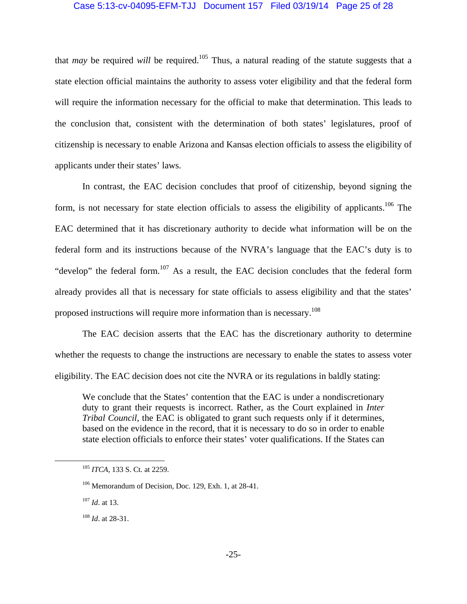## Case 5:13-cv-04095-EFM-TJJ Document 157 Filed 03/19/14 Page 25 of 28

that *may* be required *will* be required.<sup>105</sup> Thus, a natural reading of the statute suggests that a state election official maintains the authority to assess voter eligibility and that the federal form will require the information necessary for the official to make that determination. This leads to the conclusion that, consistent with the determination of both states' legislatures, proof of citizenship is necessary to enable Arizona and Kansas election officials to assess the eligibility of applicants under their states' laws.

In contrast, the EAC decision concludes that proof of citizenship, beyond signing the form, is not necessary for state election officials to assess the eligibility of applicants.<sup>106</sup> The EAC determined that it has discretionary authority to decide what information will be on the federal form and its instructions because of the NVRA's language that the EAC's duty is to "develop" the federal form.<sup>107</sup> As a result, the EAC decision concludes that the federal form already provides all that is necessary for state officials to assess eligibility and that the states' proposed instructions will require more information than is necessary.108

The EAC decision asserts that the EAC has the discretionary authority to determine whether the requests to change the instructions are necessary to enable the states to assess voter eligibility. The EAC decision does not cite the NVRA or its regulations in baldly stating:

We conclude that the States' contention that the EAC is under a nondiscretionary duty to grant their requests is incorrect. Rather, as the Court explained in *Inter Tribal Council*, the EAC is obligated to grant such requests only if it determines, based on the evidence in the record, that it is necessary to do so in order to enable state election officials to enforce their states' voter qualifications. If the States can

 <sup>105</sup> *ITCA*, 133 S. Ct. at 2259.

<sup>106</sup> Memorandum of Decision, Doc. 129, Exh. 1, at 28-41.

<sup>107</sup> *Id*. at 13.

<sup>108</sup> *Id*. at 28-31.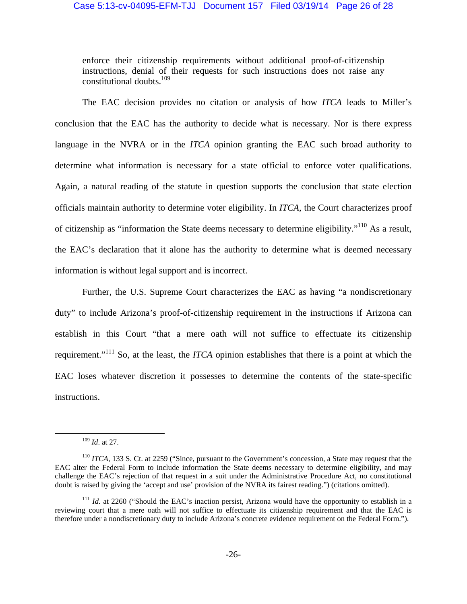enforce their citizenship requirements without additional proof-of-citizenship instructions, denial of their requests for such instructions does not raise any constitutional doubts.<sup>109</sup>

The EAC decision provides no citation or analysis of how *ITCA* leads to Miller's conclusion that the EAC has the authority to decide what is necessary. Nor is there express language in the NVRA or in the *ITCA* opinion granting the EAC such broad authority to determine what information is necessary for a state official to enforce voter qualifications. Again, a natural reading of the statute in question supports the conclusion that state election officials maintain authority to determine voter eligibility. In *ITCA*, the Court characterizes proof of citizenship as "information the State deems necessary to determine eligibility."110 As a result, the EAC's declaration that it alone has the authority to determine what is deemed necessary information is without legal support and is incorrect.

Further, the U.S. Supreme Court characterizes the EAC as having "a nondiscretionary duty" to include Arizona's proof-of-citizenship requirement in the instructions if Arizona can establish in this Court "that a mere oath will not suffice to effectuate its citizenship requirement."111 So, at the least, the *ITCA* opinion establishes that there is a point at which the EAC loses whatever discretion it possesses to determine the contents of the state-specific instructions.

 <sup>109</sup> *Id*. at 27.

<sup>&</sup>lt;sup>110</sup> *ITCA*, 133 S. Ct. at 2259 ("Since, pursuant to the Government's concession, a State may request that the EAC alter the Federal Form to include information the State deems necessary to determine eligibility, and may challenge the EAC's rejection of that request in a suit under the Administrative Procedure Act, no constitutional doubt is raised by giving the 'accept and use' provision of the NVRA its fairest reading.") (citations omitted).

<sup>&</sup>lt;sup>111</sup> *Id.* at 2260 ("Should the EAC's inaction persist, Arizona would have the opportunity to establish in a reviewing court that a mere oath will not suffice to effectuate its citizenship requirement and that the EAC is therefore under a nondiscretionary duty to include Arizona's concrete evidence requirement on the Federal Form.").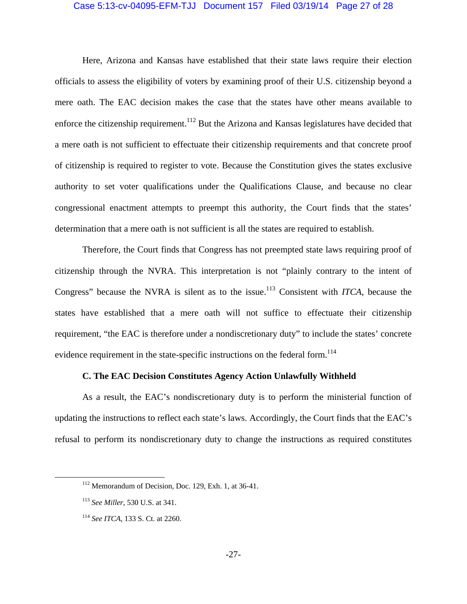#### Case 5:13-cv-04095-EFM-TJJ Document 157 Filed 03/19/14 Page 27 of 28

Here, Arizona and Kansas have established that their state laws require their election officials to assess the eligibility of voters by examining proof of their U.S. citizenship beyond a mere oath. The EAC decision makes the case that the states have other means available to enforce the citizenship requirement.<sup>112</sup> But the Arizona and Kansas legislatures have decided that a mere oath is not sufficient to effectuate their citizenship requirements and that concrete proof of citizenship is required to register to vote. Because the Constitution gives the states exclusive authority to set voter qualifications under the Qualifications Clause, and because no clear congressional enactment attempts to preempt this authority, the Court finds that the states' determination that a mere oath is not sufficient is all the states are required to establish.

Therefore, the Court finds that Congress has not preempted state laws requiring proof of citizenship through the NVRA. This interpretation is not "plainly contrary to the intent of Congress" because the NVRA is silent as to the issue.<sup>113</sup> Consistent with *ITCA*, because the states have established that a mere oath will not suffice to effectuate their citizenship requirement, "the EAC is therefore under a nondiscretionary duty" to include the states' concrete evidence requirement in the state-specific instructions on the federal form.<sup>114</sup>

## **C. The EAC Decision Constitutes Agency Action Unlawfully Withheld**

As a result, the EAC's nondiscretionary duty is to perform the ministerial function of updating the instructions to reflect each state's laws. Accordingly, the Court finds that the EAC's refusal to perform its nondiscretionary duty to change the instructions as required constitutes

 <sup>112</sup> Memorandum of Decision, Doc. 129, Exh. 1, at 36-41.

<sup>113</sup> *See Miller*, 530 U.S. at 341.

<sup>114</sup> *See ITCA*, 133 S. Ct. at 2260.